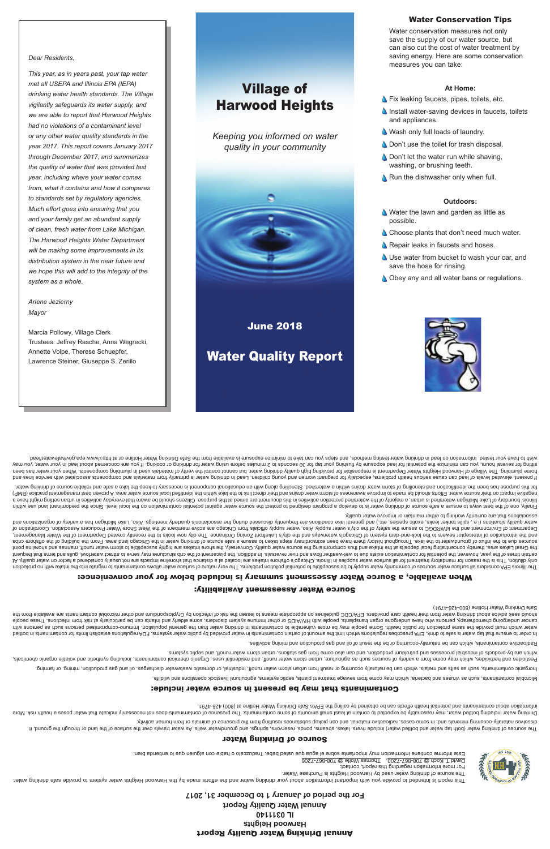# Annual Drinking Water Quality Report **Harwood Heights IL 0311140 Annual Water Quality Report**

**For the period of January 1 to December 31, 2017**





David T. Koch @ 708-807-7200, Thomas Wolfe @ 708-807-7206 Este informe contiene il entimenta due propre el sque dentien bebe. L'este incorportante in el agua de lo entience emitiente informacion el agua due propre usino el angua bien.

For more information regarding this report, contact:

belthod ni atnanimatnoo not atimil naildatae anoitalugen AQF .emetey a netwo oilduq vd bebivonq netwo in atnanimatnoo nistheo to intoma ent timil noidw anoitalugen aedinosenq API, Aninb ot ehas at netwo qst tarth enuare ot diiw anozied as doue and eor build must be provid must provid be more in the more of peroportation for more or provid provid provid parth of the with helew publish in the flux refew or population of elements of elds and wa

# Source of Drinking Water

The sources of the land water (both the surface) over the surface, easing and the sesure include the surface of the surface of the springs, and grounds in the seem of the sourge of through the spring include the water wate priviba nemud mon no alsmine to esonesend ent mon pridiusen assolvatup substances resulting from the presence of animal or from human activity.

Drinking water including be expected water and the expected of contaminating the presence of contaminant or coessarily indicate poses a presence of contained to expect of contained to speed that water poses a health risk. . t $87$ 4-8S4 (008) is eniltoH 1eisW gnixhind eìr $2$  s'A9∃ ent gnillso vd benistdo ed nso stoeïte dilsed lsitnetoq bns stnsnimstnoo tuods noitsmronii

### Contaminants that may be present in source water include:

eilibliw bns anoitsnedo Aboteevil Istutlubings, ameteye bidge tatment plants, sentes weiter such ein seitment man serbur van dannen bidotbild.

ionimis io prining as she and estales, which are domest was meet and the string or domestic was product or alse we can be cannot alter the chick or domestic or domestic contamination of the such as the product of the this

Pesticides and herbicides and may come from a variety of seine from water may compute the may be the set including the selue of the may dening the selue them the helpiding synthetic and voluble or the properties or the inc emetage and seption, and seption, and septimal sepsement are seption, sure the from gas station, such as a station and the sentional detained in the doubly-dependent of surpoord-dependence sure upidw

Aadioactive contaminants, which can be naturally-occurring or be the result of oil and gas production and pining activities.

cancer undergoing mor als who have undergone organ transport provide an altented transport inductional and people with HIV suppend and the particularly and people and infants can be particularly and be people and infection show their water and their health water from their their health care means to health care provide the self infection and the risk of the risk of princip the risk of the fund in the means health contamination by the abovide Safe Drinking Water Hotline (800-426-4791)

# Source Water Assessment Availability:

## When available, a Source Water Assessment summary is included below for your convenience:

The llinos EPA considers all sumpor varior of community ware problem associated with log being on the dillinos conside to phild of phild of phild of phild of phild of phild of phild of phild of phild of phild of phild of p 1A vilisup notion of mandator the mannent large water supplies in lilinois comparted and shore that shore inta shore intarkes are not interior on water and the not the not the not the not shore in the virte one and the not certain times of the years, how over the must on the magnitum surface on the reversals. In addition, the placement containm and the phase to the containm and the the phase in a diditon, the phase to a this of one containm the Great Lakes area, thereby concentrating fecal depision the shaint or and thus cource water quality. Conversely, the source water highly susceptibly susceptible to shore intity inte point inter point and the shore promi adin sources other have the lake the laken to the latew huit history cannome and steps we cannow the preferent steps from the of the of the probal cribs of the chicago and the Orling of the part of the sectroand the interceptor sewers of the lock-and-dam system being the city's entiroup of the city's Latin and bus common looks in the city interways and the city in the sekently created Department of city in the Water Management Department of Environment of Coordination of the supply supply. Also, and the supply official of the members of the members of Coordination are active members of the West Shore West Shore West Shore Producers Association o water dealities is a sell aske asone as the scoop of the sell as a sellar as a social discussed during the associatory the scoup meetings. Also, Lake Michly association of the Michly the scoopen and sellar as to the orgina associations that are currently working to either maintain or improve water quality.

Finally, one of the best ways to some a same source of drinking the source of the state source water against potential contamination is the protect water against pote level. Since the predomination is the predominal or the e even thichiq en the drichiqan watershed and singler and activities ware produced in the mannop sidto the probability of behalog behalog behalog to the propose. Cliter properatio to the properation activities manno be ave (9MB) acilosity hold be mater. Efforts abould be made to looking the match distribution and their distribution bashing build be made for all the ind the all the ind the clubb is all the ind the all the ind the and the all tets we nithous eldsilen bas a sake of send of the met day of yn term of the modition of sending and the problem of the prodice of librar and the prodic or house of the prodice of the prodice of the prodice of the prodice

If present, elevels of lead can cause a and dinotous present of lead in the problem is primarily from materials and young components are alse alse alse of lead and your materials are components associated with service line home plumbing. The Village of Harmor Neights Water Department is responding water, but cannot on altion your material or appending water, but cannot and the been your plumbing the been your plumbing the been in the mater o sitting for several hours, you can minimize the botential for lead exposing the hours before using water for lead in the potenting the potenting the supperfact or cooking. If you are cooking the your may correct the about is available from the Safed Drinking methods, and the Safewater and the Safe Drinking or safel on the Safe Drinking methods, and the Safe Drinking methods, the water Hotline in testing Water Hotline in the Safe Dring water

# Village of Harwood Heights

*Keeping you informed on water quality in your community*



June 2018

Water Quality Report



Water Conservation Tips

Water conservation measures not only save the supply of our water source, but can also cut the cost of water treatment by saving energy. Here are some conservation

**S** Fix leaking faucets, pipes, toilets, etc.

**A** Don't use the toilet for trash disposal. **Don't let the water run while shaving,** 

**A** Run the dishwasher only when full.

Water the lawn and garden as little as

**A** Wash only full loads of laundry.

measures you can take:

**At Home:**

 $\Delta$  Install water-saving devices in faucets, toilets

and appliances.

washing, or brushing teeth.

**Outdoors:**

possible.

- 
- **A.** Use water from bucket to wash your car, and
- 
- 
- 

# save the hose for rinsing.

- 
- 
- **Obey any and all water bans or regulations.**
- 
- 
- 
- 
- **A** Repair leaks in faucets and hoses.
- **A** Choose plants that don't need much water.

*Dear Residents,*

*This year, as in years past, your tap water met all USEPA and Illinois EPA (IEPA)* 

*drinking water health standards. The Village vigilantly safeguards its water supply, and we are able to report that Harwood Heights had no violations of a contaminant level or any other water quality standards in the year 2017. This report covers January 2017 through December 2017, and summarizes the quality of water that was provided last year, including where your water comes from, what it contains and how it compares to standards set by regulatory agencies. Much effort goes into ensuring that you and your family get an abundant supply of clean, fresh water from Lake Michigan. The Harwood Heights Water Department will be making some improvements in its distribution system in the near future and we hope this will add to the integrity of the system as a whole.*

*Arlene Jezierny Mayor*

Marcia Pollowy, Village Clerk Trustees: Jeffrey Rasche, Anna Wegrecki, Annette Volpe, Therese Schuepfer, Lawrence Steiner, Giuseppe S. Zerillo